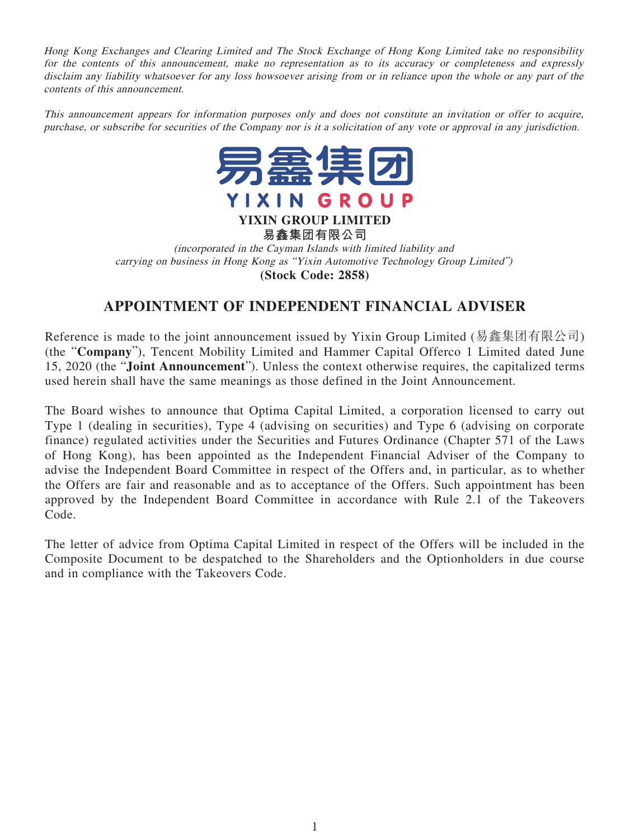Hong Kong Exchanges and Clearing Limited and The Stock Exchange of Hong Kong Limited take no responsibility for the contents of this announcement, make no representation as to its accuracy or completeness and expressly disclaim any liability whatsoever for any loss howsoever arising from or in reliance upon the whole or any part of the contents of this announcement.

This announcement appears for information purposes only and does not constitute an invitation or offer to acquire, purchase, or subscribe for securities of the Company nor is it a solicitation of any vote or approval in any jurisdiction.



**易鑫集團有限公司** (incorporated in the Cayman Islands with limited liability and carrying on business in Hong Kong as "Yixin Automotive Technology Group Limited") **(Stock Code: 2858)**

## **APPOINTMENT OF INDEPENDENT FINANCIAL ADVISER**

Reference is made to the joint announcement issued by Yixin Group Limited (易鑫集團有限公司) (the "**Company**"), Tencent Mobility Limited and Hammer Capital Offerco 1 Limited dated June 15, 2020 (the "**Joint Announcement**"). Unless the context otherwise requires, the capitalized terms used herein shall have the same meanings as those defined in the Joint Announcement.

The Board wishes to announce that Optima Capital Limited, a corporation licensed to carry out Type 1 (dealing in securities), Type 4 (advising on securities) and Type 6 (advising on corporate finance) regulated activities under the Securities and Futures Ordinance (Chapter 571 of the Laws of Hong Kong), has been appointed as the Independent Financial Adviser of the Company to advise the Independent Board Committee in respect of the Offers and, in particular, as to whether the Offers are fair and reasonable and as to acceptance of the Offers. Such appointment has been approved by the Independent Board Committee in accordance with Rule 2.1 of the Takeovers Code.

The letter of advice from Optima Capital Limited in respect of the Offers will be included in the Composite Document to be despatched to the Shareholders and the Optionholders in due course and in compliance with the Takeovers Code.